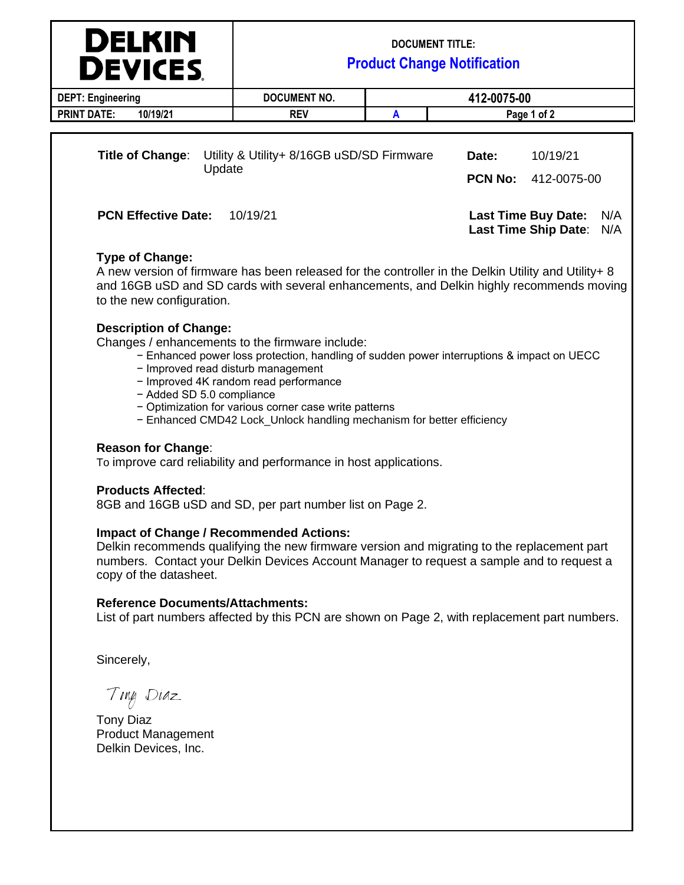|                                        | <b>DELKIN</b><br><b>DEVICES</b> | <b>DOCUMENT TITLE:</b><br><b>Product Change Notification</b>                                                                                                                                    |   |                                                                         |                         |  |
|----------------------------------------|---------------------------------|-------------------------------------------------------------------------------------------------------------------------------------------------------------------------------------------------|---|-------------------------------------------------------------------------|-------------------------|--|
| <b>DEPT: Engineering</b>               |                                 | DOCUMENT NO.                                                                                                                                                                                    |   | 412-0075-00                                                             |                         |  |
| <b>PRINT DATE:</b>                     | 10/19/21                        | <b>REV</b>                                                                                                                                                                                      | A | Page 1 of 2                                                             |                         |  |
| Title of Change:<br>Update             |                                 | Utility & Utility+ 8/16GB uSD/SD Firmware                                                                                                                                                       |   | Date:<br><b>PCN No:</b>                                                 | 10/19/21<br>412-0075-00 |  |
| <b>PCN Effective Date:</b><br>10/19/21 |                                 |                                                                                                                                                                                                 |   | <b>Last Time Buy Date:</b><br>N/A<br>N/A<br><b>Last Time Ship Date:</b> |                         |  |
|                                        | <b>Type of Change:</b>          | A new version of firmware has been released for the controller in the Delkin Utility and Utility+ 8<br>and 16GB uSD and SD cards with several enhancements, and Delkin highly recommends moving |   |                                                                         |                         |  |

## **Description of Change:**

to the new configuration.

Changes / enhancements to the firmware include:

- − Enhanced power loss protection, handling of sudden power interruptions & impact on UECC
- − Improved read disturb management
- − Improved 4K random read performance
- − Added SD 5.0 compliance
- − Optimization for various corner case write patterns
- − Enhanced CMD42 Lock\_Unlock handling mechanism for better efficiency

#### **Reason for Change**:

To improve card reliability and performance in host applications.

### **Products Affected**:

8GB and 16GB uSD and SD, per part number list on Page 2.

### **Impact of Change / Recommended Actions:**

Delkin recommends qualifying the new firmware version and migrating to the replacement part numbers. Contact your Delkin Devices Account Manager to request a sample and to request a copy of the datasheet.

### **Reference Documents/Attachments:**

List of part numbers affected by this PCN are shown on Page 2, with replacement part numbers.

Sincerely,

Ting Diaz

Tony Diaz Product Management Delkin Devices, Inc.